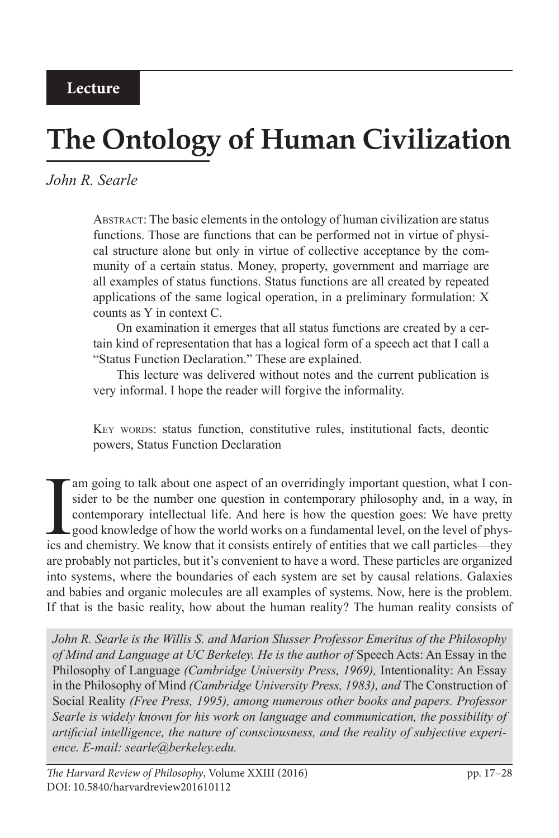# **The Ontology of Human Civilization**

# *John R. Searle*

Abstract: The basic elements in the ontology of human civilization are status functions. Those are functions that can be performed not in virtue of physical structure alone but only in virtue of collective acceptance by the community of a certain status. Money, property, government and marriage are all examples of status functions. Status functions are all created by repeated applications of the same logical operation, in a preliminary formulation: X counts as Y in context C.

On examination it emerges that all status functions are created by a certain kind of representation that has a logical form of a speech act that I call a "Status Function Declaration." These are explained.

This lecture was delivered without notes and the current publication is very informal. I hope the reader will forgive the informality.

KEY WORDS: status function, constitutive rules, institutional facts, deontic powers, Status Function Declaration

I am going to talk about one aspect of an overridingly important question, what I consider to be the number one question in contemporary philosophy and, in a way, in contemporary intellectual life. And here is how the ques sider to be the number one question in contemporary philosophy and, in a way, in contemporary intellectual life. And here is how the question goes: We have pretty good knowledge of how the world works on a fundamental level, on the level of physics and chemistry. We know that it consists entirely of entities that we call particles—they are probably not particles, but it's convenient to have a word. These particles are organized into systems, where the boundaries of each system are set by causal relations. Galaxies and babies and organic molecules are all examples of systems. Now, here is the problem. If that is the basic reality, how about the human reality? The human reality consists of

*John R. Searle is the Willis S. and Marion Slusser Professor Emeritus of the Philosophy of Mind and Language at UC Berkeley. He is the author of* Speech Acts: An Essay in the Philosophy of Language *(Cambridge University Press, 1969),* Intentionality: An Essay in the Philosophy of Mind *(Cambridge University Press, 1983), and* The Construction of Social Reality *(Free Press, 1995), among numerous other books and papers. Professor Searle is widely known for his work on language and communication, the possibility of artificial intelligence, the nature of consciousness, and the reality of subjective experience. E-mail: searle@berkeley.edu.*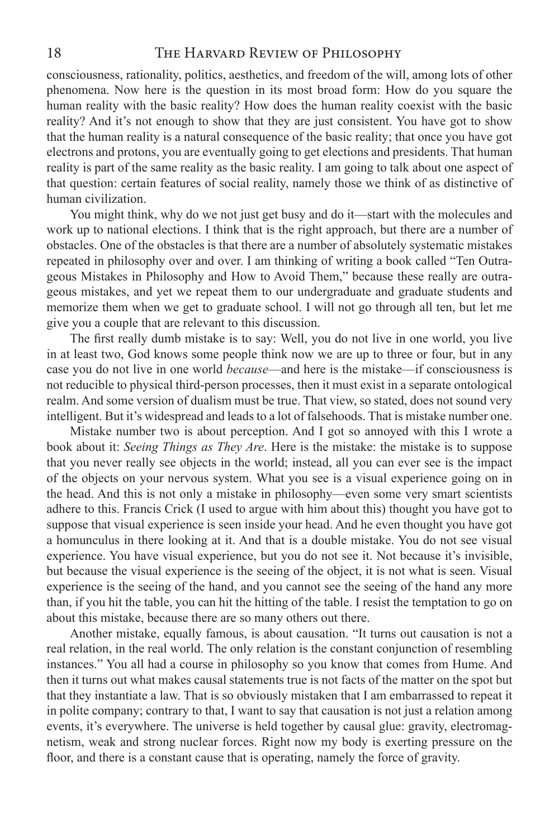consciousness, rationality, politics, aesthetics, and freedom of the will, among lots of other phenomena. Now here is the question in its most broad form: How do you square the human reality with the basic reality? How does the human reality coexist with the basic reality? And it's not enough to show that they are just consistent. You have got to show that the human reality is a natural consequence of the basic reality; that once you have got electrons and protons, you are eventually going to get elections and presidents. That human reality is part of the same reality as the basic reality. I am going to talk about one aspect of that question: certain features of social reality, namely those we think of as distinctive of human civilization.

You might think, why do we not just get busy and do it—start with the molecules and work up to national elections. I think that is the right approach, but there are a number of obstacles. One of the obstacles is that there are a number of absolutely systematic mistakes repeated in philosophy over and over. I am thinking of writing a book called "Ten Outrageous Mistakes in Philosophy and How to Avoid Them," because these really are outrageous mistakes, and yet we repeat them to our undergraduate and graduate students and memorize them when we get to graduate school. I will not go through all ten, but let me give you a couple that are relevant to this discussion.

The first really dumb mistake is to say: Well, you do not live in one world, you live in at least two, God knows some people think now we are up to three or four, but in any case you do not live in one world *because*—and here is the mistake—if consciousness is not reducible to physical third-person processes, then it must exist in a separate ontological realm. And some version of dualism must be true. That view, so stated, does not sound very intelligent. But it's widespread and leads to a lot of falsehoods. That is mistake number one.

Mistake number two is about perception. And I got so annoyed with this I wrote a book about it: *Seeing Things as They Are*. Here is the mistake: the mistake is to suppose that you never really see objects in the world; instead, all you can ever see is the impact of the objects on your nervous system. What you see is a visual experience going on in the head. And this is not only a mistake in philosophy—even some very smart scientists adhere to this. Francis Crick (I used to argue with him about this) thought you have got to suppose that visual experience is seen inside your head. And he even thought you have got a homunculus in there looking at it. And that is a double mistake. You do not see visual experience. You have visual experience, but you do not see it. Not because it's invisible, but because the visual experience is the seeing of the object, it is not what is seen. Visual experience is the seeing of the hand, and you cannot see the seeing of the hand any more than, if you hit the table, you can hit the hitting of the table. I resist the temptation to go on about this mistake, because there are so many others out there.

Another mistake, equally famous, is about causation. "It turns out causation is not a real relation, in the real world. The only relation is the constant conjunction of resembling instances." You all had a course in philosophy so you know that comes from Hume. And then it turns out what makes causal statements true is not facts of the matter on the spot but that they instantiate a law. That is so obviously mistaken that I am embarrassed to repeat it in polite company; contrary to that, I want to say that causation is not just a relation among events, it's everywhere. The universe is held together by causal glue: gravity, electromagnetism, weak and strong nuclear forces. Right now my body is exerting pressure on the floor, and there is a constant cause that is operating, namely the force of gravity.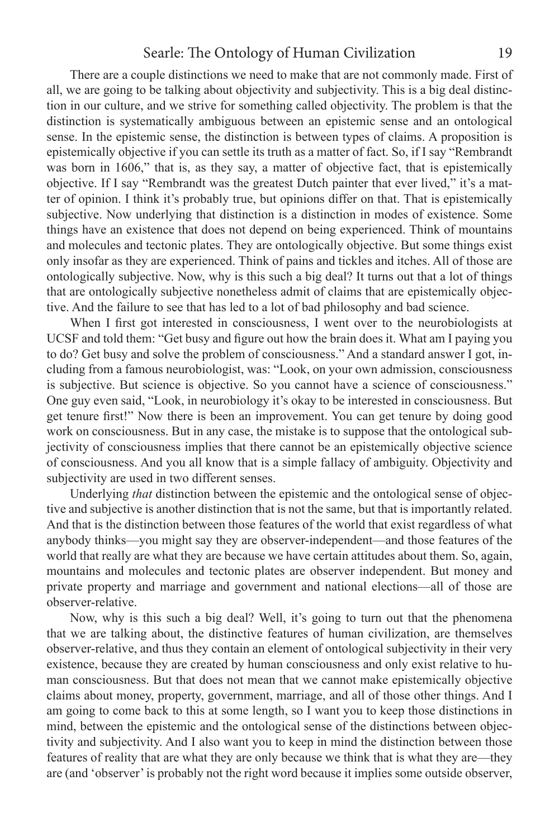There are a couple distinctions we need to make that are not commonly made. First of all, we are going to be talking about objectivity and subjectivity. This is a big deal distinction in our culture, and we strive for something called objectivity. The problem is that the distinction is systematically ambiguous between an epistemic sense and an ontological sense. In the epistemic sense, the distinction is between types of claims. A proposition is epistemically objective if you can settle its truth as a matter of fact. So, if I say "Rembrandt was born in 1606," that is, as they say, a matter of objective fact, that is epistemically objective. If I say "Rembrandt was the greatest Dutch painter that ever lived," it's a matter of opinion. I think it's probably true, but opinions differ on that. That is epistemically subjective. Now underlying that distinction is a distinction in modes of existence. Some things have an existence that does not depend on being experienced. Think of mountains and molecules and tectonic plates. They are ontologically objective. But some things exist only insofar as they are experienced. Think of pains and tickles and itches. All of those are ontologically subjective. Now, why is this such a big deal? It turns out that a lot of things that are ontologically subjective nonetheless admit of claims that are epistemically objective. And the failure to see that has led to a lot of bad philosophy and bad science.

When I first got interested in consciousness, I went over to the neurobiologists at UCSF and told them: "Get busy and figure out how the brain does it. What am I paying you to do? Get busy and solve the problem of consciousness." And a standard answer I got, including from a famous neurobiologist, was: "Look, on your own admission, consciousness is subjective. But science is objective. So you cannot have a science of consciousness." One guy even said, "Look, in neurobiology it's okay to be interested in consciousness. But get tenure first!" Now there is been an improvement. You can get tenure by doing good work on consciousness. But in any case, the mistake is to suppose that the ontological subjectivity of consciousness implies that there cannot be an epistemically objective science of consciousness. And you all know that is a simple fallacy of ambiguity. Objectivity and subjectivity are used in two different senses.

Underlying *that* distinction between the epistemic and the ontological sense of objective and subjective is another distinction that is not the same, but that is importantly related. And that is the distinction between those features of the world that exist regardless of what anybody thinks—you might say they are observer-independent—and those features of the world that really are what they are because we have certain attitudes about them. So, again, mountains and molecules and tectonic plates are observer independent. But money and private property and marriage and government and national elections—all of those are observer-relative.

Now, why is this such a big deal? Well, it's going to turn out that the phenomena that we are talking about, the distinctive features of human civilization, are themselves observer-relative, and thus they contain an element of ontological subjectivity in their very existence, because they are created by human consciousness and only exist relative to human consciousness. But that does not mean that we cannot make epistemically objective claims about money, property, government, marriage, and all of those other things. And I am going to come back to this at some length, so I want you to keep those distinctions in mind, between the epistemic and the ontological sense of the distinctions between objectivity and subjectivity. And I also want you to keep in mind the distinction between those features of reality that are what they are only because we think that is what they are—they are (and 'observer' is probably not the right word because it implies some outside observer,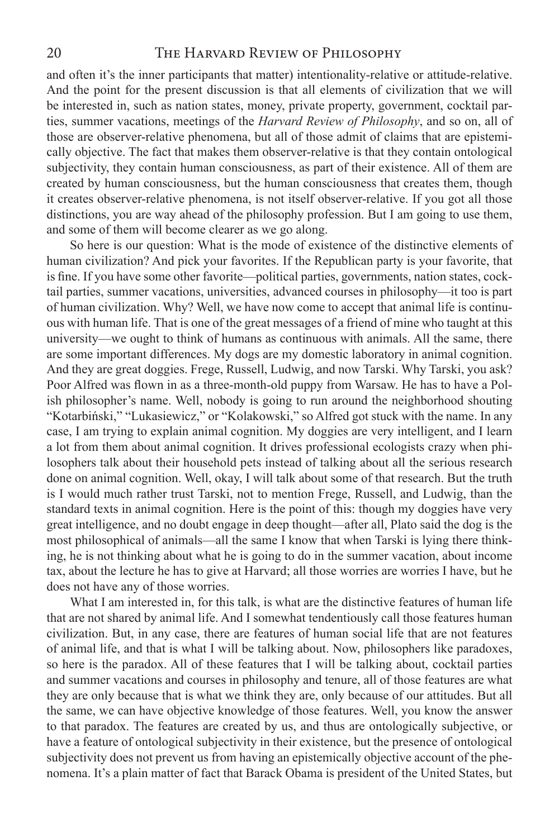and often it's the inner participants that matter) intentionality-relative or attitude-relative. And the point for the present discussion is that all elements of civilization that we will be interested in, such as nation states, money, private property, government, cocktail parties, summer vacations, meetings of the *Harvard Review of Philosophy*, and so on, all of those are observer-relative phenomena, but all of those admit of claims that are epistemically objective. The fact that makes them observer-relative is that they contain ontological subjectivity, they contain human consciousness, as part of their existence. All of them are created by human consciousness, but the human consciousness that creates them, though it creates observer-relative phenomena, is not itself observer-relative. If you got all those distinctions, you are way ahead of the philosophy profession. But I am going to use them, and some of them will become clearer as we go along.

So here is our question: What is the mode of existence of the distinctive elements of human civilization? And pick your favorites. If the Republican party is your favorite, that is fine. If you have some other favorite—political parties, governments, nation states, cocktail parties, summer vacations, universities, advanced courses in philosophy—it too is part of human civilization. Why? Well, we have now come to accept that animal life is continuous with human life. That is one of the great messages of a friend of mine who taught at this university—we ought to think of humans as continuous with animals. All the same, there are some important differences. My dogs are my domestic laboratory in animal cognition. And they are great doggies. Frege, Russell, Ludwig, and now Tarski. Why Tarski, you ask? Poor Alfred was flown in as a three-month-old puppy from Warsaw. He has to have a Polish philosopher's name. Well, nobody is going to run around the neighborhood shouting "Kotarbiński," "Lukasiewicz," or "Kolakowski," so Alfred got stuck with the name. In any case, I am trying to explain animal cognition. My doggies are very intelligent, and I learn a lot from them about animal cognition. It drives professional ecologists crazy when philosophers talk about their household pets instead of talking about all the serious research done on animal cognition. Well, okay, I will talk about some of that research. But the truth is I would much rather trust Tarski, not to mention Frege, Russell, and Ludwig, than the standard texts in animal cognition. Here is the point of this: though my doggies have very great intelligence, and no doubt engage in deep thought—after all, Plato said the dog is the most philosophical of animals—all the same I know that when Tarski is lying there thinking, he is not thinking about what he is going to do in the summer vacation, about income tax, about the lecture he has to give at Harvard; all those worries are worries I have, but he does not have any of those worries.

What I am interested in, for this talk, is what are the distinctive features of human life that are not shared by animal life. And I somewhat tendentiously call those features human civilization. But, in any case, there are features of human social life that are not features of animal life, and that is what I will be talking about. Now, philosophers like paradoxes, so here is the paradox. All of these features that I will be talking about, cocktail parties and summer vacations and courses in philosophy and tenure, all of those features are what they are only because that is what we think they are, only because of our attitudes. But all the same, we can have objective knowledge of those features. Well, you know the answer to that paradox. The features are created by us, and thus are ontologically subjective, or have a feature of ontological subjectivity in their existence, but the presence of ontological subjectivity does not prevent us from having an epistemically objective account of the phenomena. It's a plain matter of fact that Barack Obama is president of the United States, but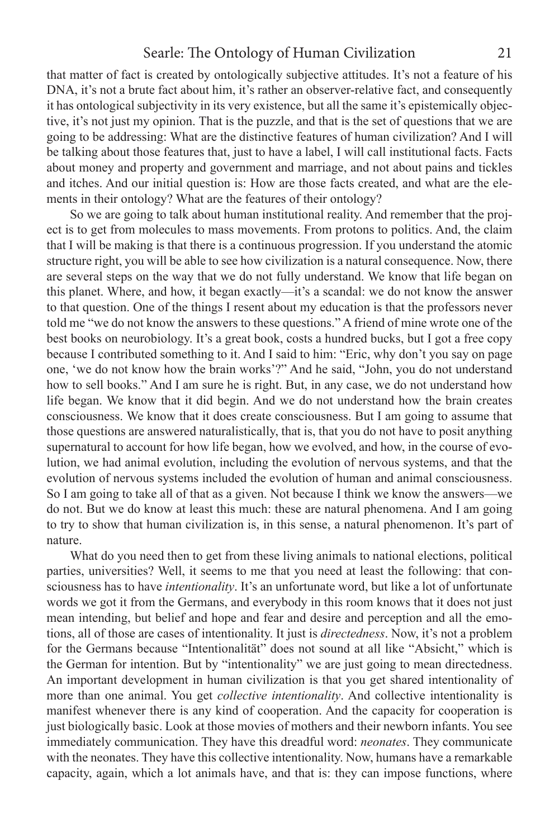that matter of fact is created by ontologically subjective attitudes. It's not a feature of his DNA, it's not a brute fact about him, it's rather an observer-relative fact, and consequently it has ontological subjectivity in its very existence, but all the same it's epistemically objective, it's not just my opinion. That is the puzzle, and that is the set of questions that we are going to be addressing: What are the distinctive features of human civilization? And I will be talking about those features that, just to have a label, I will call institutional facts. Facts about money and property and government and marriage, and not about pains and tickles and itches. And our initial question is: How are those facts created, and what are the elements in their ontology? What are the features of their ontology?

So we are going to talk about human institutional reality. And remember that the project is to get from molecules to mass movements. From protons to politics. And, the claim that I will be making is that there is a continuous progression. If you understand the atomic structure right, you will be able to see how civilization is a natural consequence. Now, there are several steps on the way that we do not fully understand. We know that life began on this planet. Where, and how, it began exactly—it's a scandal: we do not know the answer to that question. One of the things I resent about my education is that the professors never told me "we do not know the answers to these questions." A friend of mine wrote one of the best books on neurobiology. It's a great book, costs a hundred bucks, but I got a free copy because I contributed something to it. And I said to him: "Eric, why don't you say on page one, 'we do not know how the brain works'?" And he said, "John, you do not understand how to sell books." And I am sure he is right. But, in any case, we do not understand how life began. We know that it did begin. And we do not understand how the brain creates consciousness. We know that it does create consciousness. But I am going to assume that those questions are answered naturalistically, that is, that you do not have to posit anything supernatural to account for how life began, how we evolved, and how, in the course of evolution, we had animal evolution, including the evolution of nervous systems, and that the evolution of nervous systems included the evolution of human and animal consciousness. So I am going to take all of that as a given. Not because I think we know the answers—we do not. But we do know at least this much: these are natural phenomena. And I am going to try to show that human civilization is, in this sense, a natural phenomenon. It's part of nature.

What do you need then to get from these living animals to national elections, political parties, universities? Well, it seems to me that you need at least the following: that consciousness has to have *intentionality*. It's an unfortunate word, but like a lot of unfortunate words we got it from the Germans, and everybody in this room knows that it does not just mean intending, but belief and hope and fear and desire and perception and all the emotions, all of those are cases of intentionality. It just is *directedness*. Now, it's not a problem for the Germans because "Intentionalität" does not sound at all like "Absicht," which is the German for intention. But by "intentionality" we are just going to mean directedness. An important development in human civilization is that you get shared intentionality of more than one animal. You get *collective intentionality*. And collective intentionality is manifest whenever there is any kind of cooperation. And the capacity for cooperation is just biologically basic. Look at those movies of mothers and their newborn infants. You see immediately communication. They have this dreadful word: *neonates*. They communicate with the neonates. They have this collective intentionality. Now, humans have a remarkable capacity, again, which a lot animals have, and that is: they can impose functions, where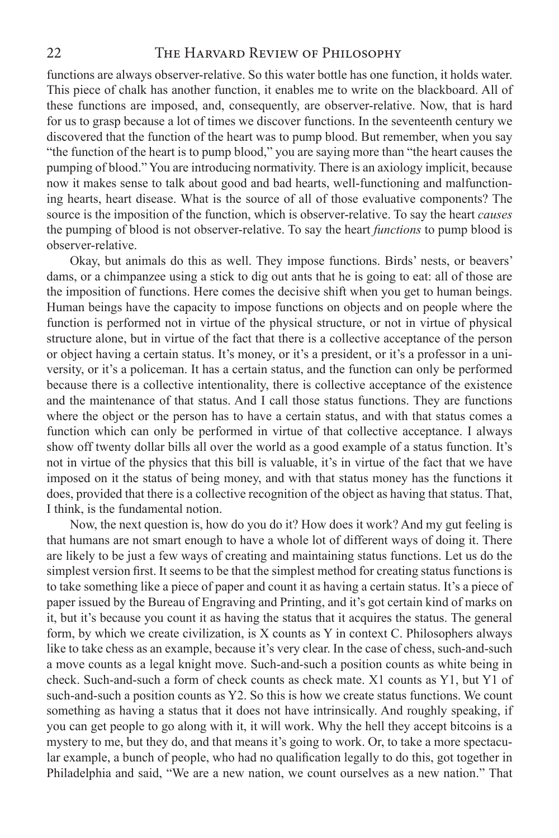functions are always observer-relative. So this water bottle has one function, it holds water. This piece of chalk has another function, it enables me to write on the blackboard. All of these functions are imposed, and, consequently, are observer-relative. Now, that is hard for us to grasp because a lot of times we discover functions. In the seventeenth century we discovered that the function of the heart was to pump blood. But remember, when you say "the function of the heart is to pump blood," you are saying more than "the heart causes the pumping of blood." You are introducing normativity. There is an axiology implicit, because now it makes sense to talk about good and bad hearts, well-functioning and malfunctioning hearts, heart disease. What is the source of all of those evaluative components? The source is the imposition of the function, which is observer-relative. To say the heart *causes* the pumping of blood is not observer-relative. To say the heart *functions* to pump blood is observer-relative.

Okay, but animals do this as well. They impose functions. Birds' nests, or beavers' dams, or a chimpanzee using a stick to dig out ants that he is going to eat: all of those are the imposition of functions. Here comes the decisive shift when you get to human beings. Human beings have the capacity to impose functions on objects and on people where the function is performed not in virtue of the physical structure, or not in virtue of physical structure alone, but in virtue of the fact that there is a collective acceptance of the person or object having a certain status. It's money, or it's a president, or it's a professor in a university, or it's a policeman. It has a certain status, and the function can only be performed because there is a collective intentionality, there is collective acceptance of the existence and the maintenance of that status. And I call those status functions. They are functions where the object or the person has to have a certain status, and with that status comes a function which can only be performed in virtue of that collective acceptance. I always show off twenty dollar bills all over the world as a good example of a status function. It's not in virtue of the physics that this bill is valuable, it's in virtue of the fact that we have imposed on it the status of being money, and with that status money has the functions it does, provided that there is a collective recognition of the object as having that status. That, I think, is the fundamental notion.

Now, the next question is, how do you do it? How does it work? And my gut feeling is that humans are not smart enough to have a whole lot of different ways of doing it. There are likely to be just a few ways of creating and maintaining status functions. Let us do the simplest version first. It seems to be that the simplest method for creating status functions is to take something like a piece of paper and count it as having a certain status. It's a piece of paper issued by the Bureau of Engraving and Printing, and it's got certain kind of marks on it, but it's because you count it as having the status that it acquires the status. The general form, by which we create civilization, is X counts as Y in context C. Philosophers always like to take chess as an example, because it's very clear. In the case of chess, such-and-such a move counts as a legal knight move. Such-and-such a position counts as white being in check. Such-and-such a form of check counts as check mate. X1 counts as Y1, but Y1 of such-and-such a position counts as Y2. So this is how we create status functions. We count something as having a status that it does not have intrinsically. And roughly speaking, if you can get people to go along with it, it will work. Why the hell they accept bitcoins is a mystery to me, but they do, and that means it's going to work. Or, to take a more spectacular example, a bunch of people, who had no qualification legally to do this, got together in Philadelphia and said, "We are a new nation, we count ourselves as a new nation." That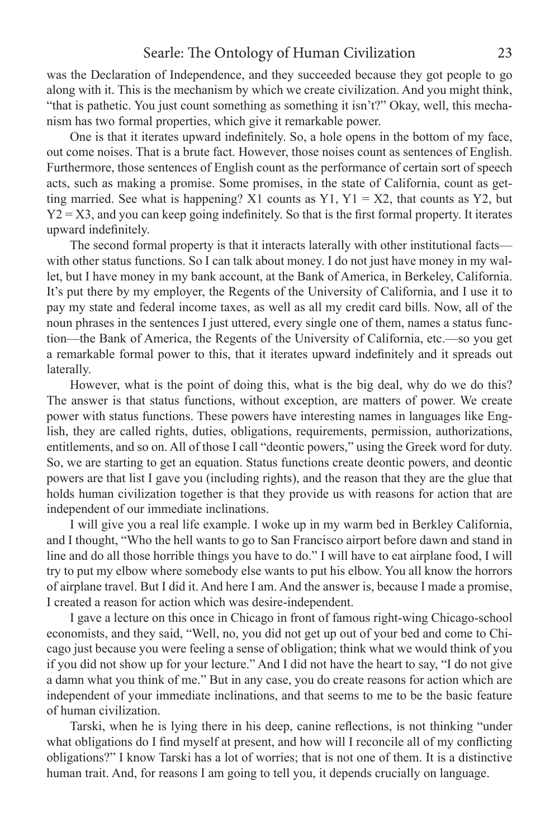was the Declaration of Independence, and they succeeded because they got people to go along with it. This is the mechanism by which we create civilization. And you might think, "that is pathetic. You just count something as something it isn't?" Okay, well, this mechanism has two formal properties, which give it remarkable power.

One is that it iterates upward indefinitely. So, a hole opens in the bottom of my face, out come noises. That is a brute fact. However, those noises count as sentences of English. Furthermore, those sentences of English count as the performance of certain sort of speech acts, such as making a promise. Some promises, in the state of California, count as getting married. See what is happening? X1 counts as Y1, Y1 = X2, that counts as Y2, but  $Y2 = X3$ , and you can keep going indefinitely. So that is the first formal property. It iterates upward indefinitely.

The second formal property is that it interacts laterally with other institutional facts with other status functions. So I can talk about money. I do not just have money in my wallet, but I have money in my bank account, at the Bank of America, in Berkeley, California. It's put there by my employer, the Regents of the University of California, and I use it to pay my state and federal income taxes, as well as all my credit card bills. Now, all of the noun phrases in the sentences I just uttered, every single one of them, names a status function—the Bank of America, the Regents of the University of California, etc.—so you get a remarkable formal power to this, that it iterates upward indefinitely and it spreads out laterally.

However, what is the point of doing this, what is the big deal, why do we do this? The answer is that status functions, without exception, are matters of power. We create power with status functions. These powers have interesting names in languages like English, they are called rights, duties, obligations, requirements, permission, authorizations, entitlements, and so on. All of those I call "deontic powers," using the Greek word for duty. So, we are starting to get an equation. Status functions create deontic powers, and deontic powers are that list I gave you (including rights), and the reason that they are the glue that holds human civilization together is that they provide us with reasons for action that are independent of our immediate inclinations.

I will give you a real life example. I woke up in my warm bed in Berkley California, and I thought, "Who the hell wants to go to San Francisco airport before dawn and stand in line and do all those horrible things you have to do." I will have to eat airplane food, I will try to put my elbow where somebody else wants to put his elbow. You all know the horrors of airplane travel. But I did it. And here I am. And the answer is, because I made a promise, I created a reason for action which was desire-independent.

I gave a lecture on this once in Chicago in front of famous right-wing Chicago-school economists, and they said, "Well, no, you did not get up out of your bed and come to Chicago just because you were feeling a sense of obligation; think what we would think of you if you did not show up for your lecture." And I did not have the heart to say, "I do not give a damn what you think of me." But in any case, you do create reasons for action which are independent of your immediate inclinations, and that seems to me to be the basic feature of human civilization.

Tarski, when he is lying there in his deep, canine reflections, is not thinking "under what obligations do I find myself at present, and how will I reconcile all of my conflicting obligations?" I know Tarski has a lot of worries; that is not one of them. It is a distinctive human trait. And, for reasons I am going to tell you, it depends crucially on language.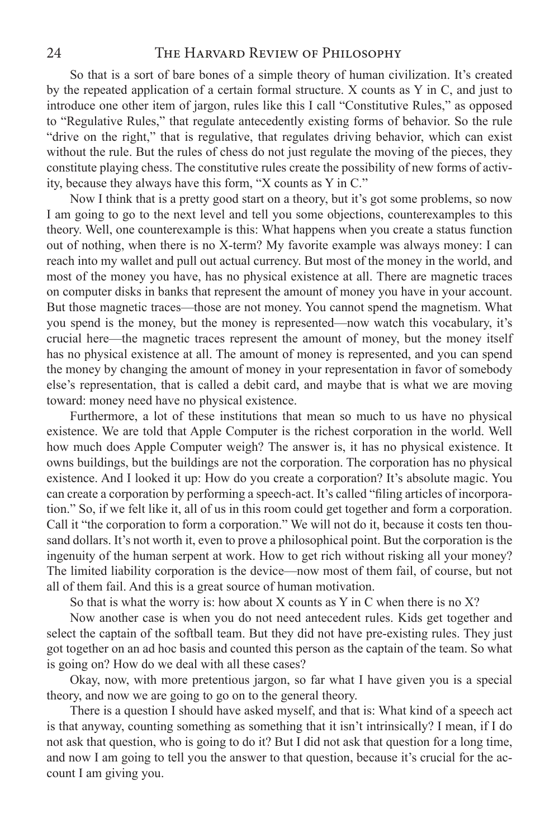So that is a sort of bare bones of a simple theory of human civilization. It's created by the repeated application of a certain formal structure. X counts as Y in C, and just to introduce one other item of jargon, rules like this I call "Constitutive Rules," as opposed to "Regulative Rules," that regulate antecedently existing forms of behavior. So the rule "drive on the right," that is regulative, that regulates driving behavior, which can exist without the rule. But the rules of chess do not just regulate the moving of the pieces, they constitute playing chess. The constitutive rules create the possibility of new forms of activity, because they always have this form, "X counts as Y in C."

Now I think that is a pretty good start on a theory, but it's got some problems, so now I am going to go to the next level and tell you some objections, counterexamples to this theory. Well, one counterexample is this: What happens when you create a status function out of nothing, when there is no X-term? My favorite example was always money: I can reach into my wallet and pull out actual currency. But most of the money in the world, and most of the money you have, has no physical existence at all. There are magnetic traces on computer disks in banks that represent the amount of money you have in your account. But those magnetic traces—those are not money. You cannot spend the magnetism. What you spend is the money, but the money is represented—now watch this vocabulary, it's crucial here—the magnetic traces represent the amount of money, but the money itself has no physical existence at all. The amount of money is represented, and you can spend the money by changing the amount of money in your representation in favor of somebody else's representation, that is called a debit card, and maybe that is what we are moving toward: money need have no physical existence.

Furthermore, a lot of these institutions that mean so much to us have no physical existence. We are told that Apple Computer is the richest corporation in the world. Well how much does Apple Computer weigh? The answer is, it has no physical existence. It owns buildings, but the buildings are not the corporation. The corporation has no physical existence. And I looked it up: How do you create a corporation? It's absolute magic. You can create a corporation by performing a speech-act. It's called "filing articles of incorporation." So, if we felt like it, all of us in this room could get together and form a corporation. Call it "the corporation to form a corporation." We will not do it, because it costs ten thousand dollars. It's not worth it, even to prove a philosophical point. But the corporation is the ingenuity of the human serpent at work. How to get rich without risking all your money? The limited liability corporation is the device—now most of them fail, of course, but not all of them fail. And this is a great source of human motivation.

So that is what the worry is: how about  $X$  counts as  $Y$  in  $C$  when there is no  $X$ ?

Now another case is when you do not need antecedent rules. Kids get together and select the captain of the softball team. But they did not have pre-existing rules. They just got together on an ad hoc basis and counted this person as the captain of the team. So what is going on? How do we deal with all these cases?

Okay, now, with more pretentious jargon, so far what I have given you is a special theory, and now we are going to go on to the general theory.

There is a question I should have asked myself, and that is: What kind of a speech act is that anyway, counting something as something that it isn't intrinsically? I mean, if I do not ask that question, who is going to do it? But I did not ask that question for a long time, and now I am going to tell you the answer to that question, because it's crucial for the account I am giving you.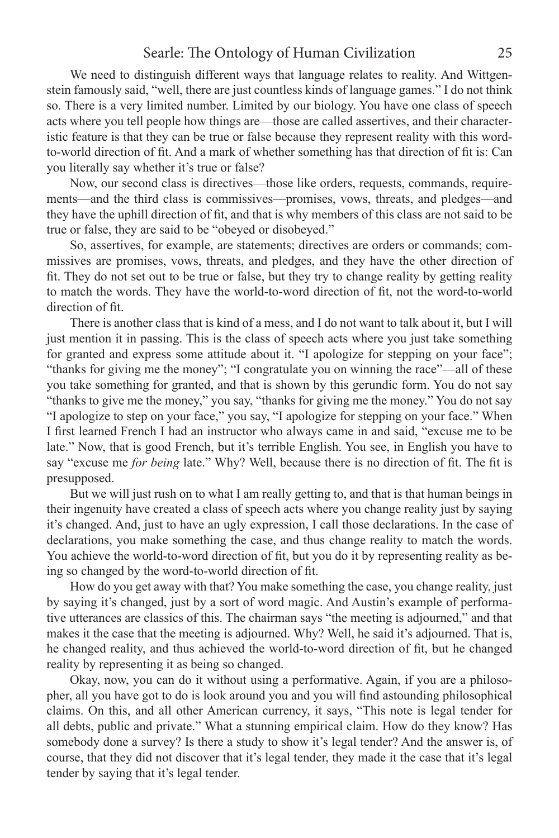We need to distinguish different ways that language relates to reality. And Wittgenstein famously said, "well, there are just countless kinds of language games." I do not think so. There is a very limited number. Limited by our biology. You have one class of speech acts where you tell people how things are—those are called assertives, and their characteristic feature is that they can be true or false because they represent reality with this wordto-world direction of fit. And a mark of whether something has that direction of fit is: Can you literally say whether it's true or false?

Now, our second class is directives—those like orders, requests, commands, requirements—and the third class is commissives—promises, vows, threats, and pledges—and they have the uphill direction of fit, and that is why members of this class are not said to be true or false, they are said to be "obeyed or disobeyed."

So, assertives, for example, are statements; directives are orders or commands; commissives are promises, vows, threats, and pledges, and they have the other direction of fit. They do not set out to be true or false, but they try to change reality by getting reality to match the words. They have the world-to-word direction of fit, not the word-to-world direction of fit.

There is another class that is kind of a mess, and I do not want to talk about it, but I will just mention it in passing. This is the class of speech acts where you just take something for granted and express some attitude about it. "I apologize for stepping on your face"; "thanks for giving me the money"; "I congratulate you on winning the race"—all of these you take something for granted, and that is shown by this gerundic form. You do not say "thanks to give me the money," you say, "thanks for giving me the money." You do not say "I apologize to step on your face," you say, "I apologize for stepping on your face." When I first learned French I had an instructor who always came in and said, "excuse me to be late." Now, that is good French, but it's terrible English. You see, in English you have to say "excuse me *for being* late." Why? Well, because there is no direction of fit. The fit is presupposed.

But we will just rush on to what I am really getting to, and that is that human beings in their ingenuity have created a class of speech acts where you change reality just by saying it's changed. And, just to have an ugly expression, I call those declarations. In the case of declarations, you make something the case, and thus change reality to match the words. You achieve the world-to-word direction of fit, but you do it by representing reality as being so changed by the word-to-world direction of fit.

How do you get away with that? You make something the case, you change reality, just by saying it's changed, just by a sort of word magic. And Austin's example of performative utterances are classics of this. The chairman says "the meeting is adjourned," and that makes it the case that the meeting is adjourned. Why? Well, he said it's adjourned. That is, he changed reality, and thus achieved the world-to-word direction of fit, but he changed reality by representing it as being so changed.

Okay, now, you can do it without using a performative. Again, if you are a philosopher, all you have got to do is look around you and you will find astounding philosophical claims. On this, and all other American currency, it says, "This note is legal tender for all debts, public and private." What a stunning empirical claim. How do they know? Has somebody done a survey? Is there a study to show it's legal tender? And the answer is, of course, that they did not discover that it's legal tender, they made it the case that it's legal tender by saying that it's legal tender.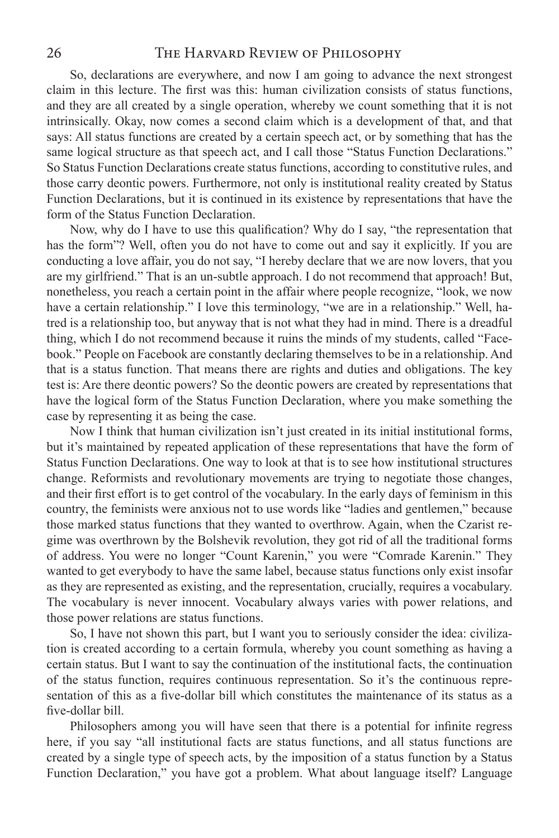So, declarations are everywhere, and now I am going to advance the next strongest claim in this lecture. The first was this: human civilization consists of status functions, and they are all created by a single operation, whereby we count something that it is not intrinsically. Okay, now comes a second claim which is a development of that, and that says: All status functions are created by a certain speech act, or by something that has the same logical structure as that speech act, and I call those "Status Function Declarations." So Status Function Declarations create status functions, according to constitutive rules, and those carry deontic powers. Furthermore, not only is institutional reality created by Status Function Declarations, but it is continued in its existence by representations that have the form of the Status Function Declaration.

Now, why do I have to use this qualification? Why do I say, "the representation that has the form"? Well, often you do not have to come out and say it explicitly. If you are conducting a love affair, you do not say, "I hereby declare that we are now lovers, that you are my girlfriend." That is an un-subtle approach. I do not recommend that approach! But, nonetheless, you reach a certain point in the affair where people recognize, "look, we now have a certain relationship." I love this terminology, "we are in a relationship." Well, hatred is a relationship too, but anyway that is not what they had in mind. There is a dreadful thing, which I do not recommend because it ruins the minds of my students, called "Facebook." People on Facebook are constantly declaring themselves to be in a relationship. And that is a status function. That means there are rights and duties and obligations. The key test is: Are there deontic powers? So the deontic powers are created by representations that have the logical form of the Status Function Declaration, where you make something the case by representing it as being the case.

Now I think that human civilization isn't just created in its initial institutional forms, but it's maintained by repeated application of these representations that have the form of Status Function Declarations. One way to look at that is to see how institutional structures change. Reformists and revolutionary movements are trying to negotiate those changes, and their first effort is to get control of the vocabulary. In the early days of feminism in this country, the feminists were anxious not to use words like "ladies and gentlemen," because those marked status functions that they wanted to overthrow. Again, when the Czarist regime was overthrown by the Bolshevik revolution, they got rid of all the traditional forms of address. You were no longer "Count Karenin," you were "Comrade Karenin." They wanted to get everybody to have the same label, because status functions only exist insofar as they are represented as existing, and the representation, crucially, requires a vocabulary. The vocabulary is never innocent. Vocabulary always varies with power relations, and those power relations are status functions.

So, I have not shown this part, but I want you to seriously consider the idea: civilization is created according to a certain formula, whereby you count something as having a certain status. But I want to say the continuation of the institutional facts, the continuation of the status function, requires continuous representation. So it's the continuous representation of this as a five-dollar bill which constitutes the maintenance of its status as a five-dollar bill.

Philosophers among you will have seen that there is a potential for infinite regress here, if you say "all institutional facts are status functions, and all status functions are created by a single type of speech acts, by the imposition of a status function by a Status Function Declaration," you have got a problem. What about language itself? Language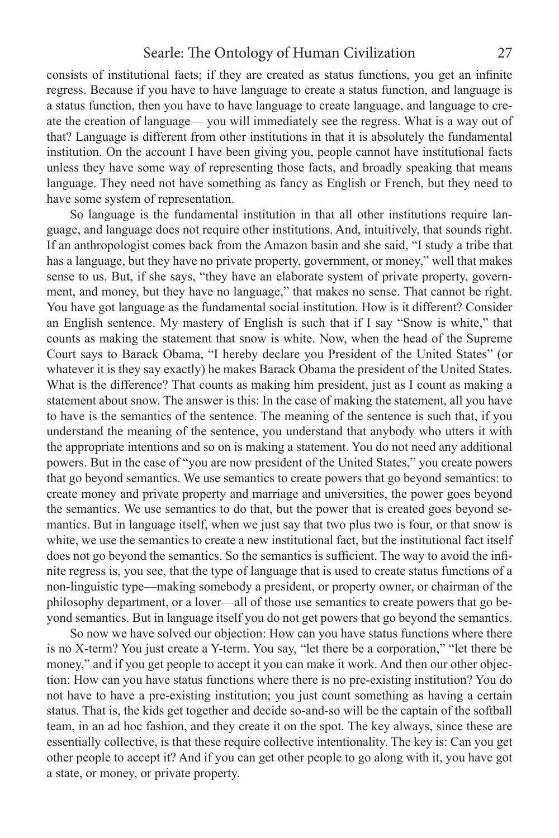consists of institutional facts; if they are created as status functions, you get an infinite regress. Because if you have to have language to create a status function, and language is a status function, then you have to have language to create language, and language to create the creation of language— you will immediately see the regress. What is a way out of that? Language is different from other institutions in that it is absolutely the fundamental institution. On the account I have been giving you, people cannot have institutional facts unless they have some way of representing those facts, and broadly speaking that means language. They need not have something as fancy as English or French, but they need to have some system of representation.

So language is the fundamental institution in that all other institutions require language, and language does not require other institutions. And, intuitively, that sounds right. If an anthropologist comes back from the Amazon basin and she said, "I study a tribe that has a language, but they have no private property, government, or money," well that makes sense to us. But, if she says, "they have an elaborate system of private property, government, and money, but they have no language," that makes no sense. That cannot be right. You have got language as the fundamental social institution. How is it different? Consider an English sentence. My mastery of English is such that if I say "Snow is white," that counts as making the statement that snow is white. Now, when the head of the Supreme Court says to Barack Obama, "I hereby declare you President of the United States" (or whatever it is they say exactly) he makes Barack Obama the president of the United States. What is the difference? That counts as making him president, just as I count as making a statement about snow. The answer is this: In the case of making the statement, all you have to have is the semantics of the sentence. The meaning of the sentence is such that, if you understand the meaning of the sentence, you understand that anybody who utters it with the appropriate intentions and so on is making a statement. You do not need any additional powers. But in the case of "you are now president of the United States," you create powers that go beyond semantics. We use semantics to create powers that go beyond semantics: to create money and private property and marriage and universities, the power goes beyond the semantics. We use semantics to do that, but the power that is created goes beyond semantics. But in language itself, when we just say that two plus two is four, or that snow is white, we use the semantics to create a new institutional fact, but the institutional fact itself does not go beyond the semantics. So the semantics is sufficient. The way to avoid the infinite regress is, you see, that the type of language that is used to create status functions of a non-linguistic type—making somebody a president, or property owner, or chairman of the philosophy department, or a lover—all of those use semantics to create powers that go beyond semantics. But in language itself you do not get powers that go beyond the semantics.

So now we have solved our objection: How can you have status functions where there is no X-term? You just create a Y-term. You say, "let there be a corporation," "let there be money," and if you get people to accept it you can make it work. And then our other objection: How can you have status functions where there is no pre-existing institution? You do not have to have a pre-existing institution; you just count something as having a certain status. That is, the kids get together and decide so-and-so will be the captain of the softball team, in an ad hoc fashion, and they create it on the spot. The key always, since these are essentially collective, is that these require collective intentionality. The key is: Can you get other people to accept it? And if you can get other people to go along with it, you have got a state, or money, or private property.